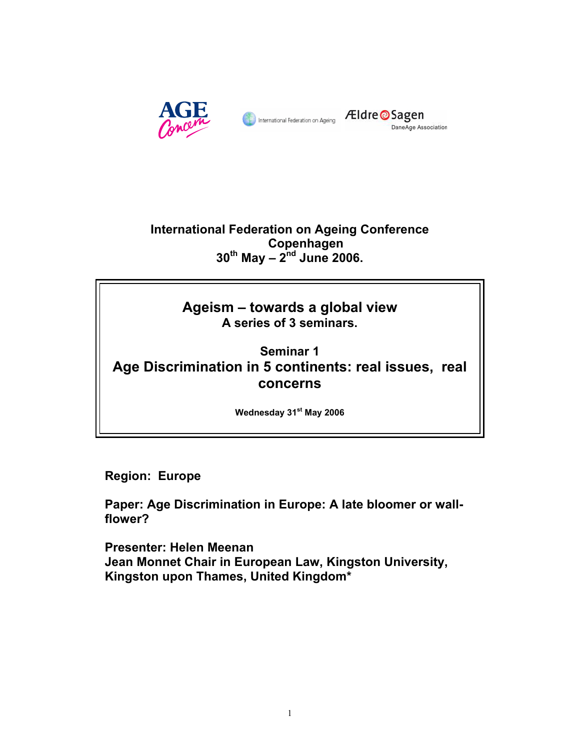



# **International Federation on Ageing Conference Copenhagen 30th May – 2nd June 2006.**

# **Ageism – towards a global view A series of 3 seminars.**

# **Seminar 1 Age Discrimination in 5 continents: real issues, real concerns**

**Wednesday 31st May 2006** 

**Region: Europe** 

**Paper: Age Discrimination in Europe: A late bloomer or wallflower?**

**Presenter: Helen Meenan Jean Monnet Chair in European Law, Kingston University, Kingston upon Thames, United Kingdom\***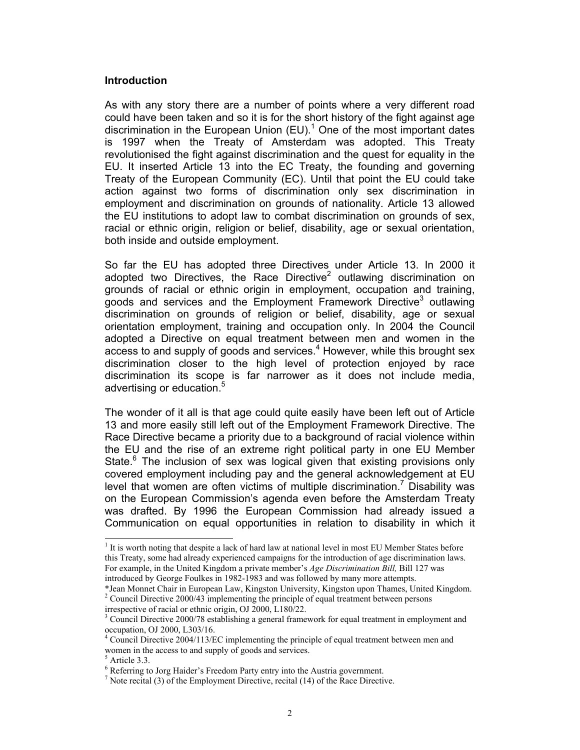#### **Introduction**

As with any story there are a number of points where a very different road could have been taken and so it is for the short history of the fight against age discrimination in the European Union  $(EU)^{1}$  One of the most important dates is 1997 when the Treaty of Amsterdam was adopted. This Treaty revolutionised the fight against discrimination and the quest for equality in the EU. It inserted Article 13 into the EC Treaty, the founding and governing Treaty of the European Community (EC). Until that point the EU could take action against two forms of discrimination only sex discrimination in employment and discrimination on grounds of nationality. Article 13 allowed the EU institutions to adopt law to combat discrimination on grounds of sex, racial or ethnic origin, religion or belief, disability, age or sexual orientation, both inside and outside employment.

So far the EU has adopted three Directives under Article 13. In 2000 it adopted two Directives, the Race Directive<sup>2</sup> outlawing discrimination on grounds of racial or ethnic origin in employment, occupation and training, goods and services and the Employment Framework Directive<sup>3</sup> outlawing discrimination on grounds of religion or belief, disability, age or sexual orientation employment, training and occupation only. In 2004 the Council adopted a Directive on equal treatment between men and women in the access to and supply of goods and services. $4$  However, while this brought sex discrimination closer to the high level of protection enjoyed by race discrimination its scope is far narrower as it does not include media, advertising or education.<sup>5</sup>

The wonder of it all is that age could quite easily have been left out of Article 13 and more easily still left out of the Employment Framework Directive. The Race Directive became a priority due to a background of racial violence within the EU and the rise of an extreme right political party in one EU Member State.<sup>6</sup> The inclusion of sex was logical given that existing provisions only covered employment including pay and the general acknowledgement at EU level that women are often victims of multiple discrimination.<sup>7</sup> Disability was on the European Commission's agenda even before the Amsterdam Treaty was drafted. By 1996 the European Commission had already issued a Communication on equal opportunities in relation to disability in which it

<sup>&</sup>lt;sup>1</sup> It is worth noting that despite a lack of hard law at national level in most EU Member States before this Treaty, some had already experienced campaigns for the introduction of age discrimination laws. For example, in the United Kingdom a private member's *Age Discrimination Bill,* Bill 127 was introduced by George Foulkes in 1982-1983 and was followed by many more attempts.

<sup>\*</sup>Jean Monnet Chair in European Law, Kingston University, Kingston upon Thames, United Kingdom.  $2^2$  Council Directive 2000/43 implementing the principle of equal treatment between persons irrespective of racial or ethnic origin, OJ 2000, L180/22.

<sup>&</sup>lt;sup>3</sup> Council Directive 2000/78 establishing a general framework for equal treatment in employment and occupation, OJ 2000, L303/16.

<sup>&</sup>lt;sup>4</sup> Council Directive 2004/113/EC implementing the principle of equal treatment between men and women in the access to and supply of goods and services.

Article 3.3.

<sup>&</sup>lt;sup>6</sup> Referring to Jorg Haider's Freedom Party entry into the Austria government.<br><sup>7</sup> Note regital (2) of the Employment Directive, regital (14) of the Bees Directive

 $\frac{1}{2}$  Note recital (3) of the Employment Directive, recital (14) of the Race Directive.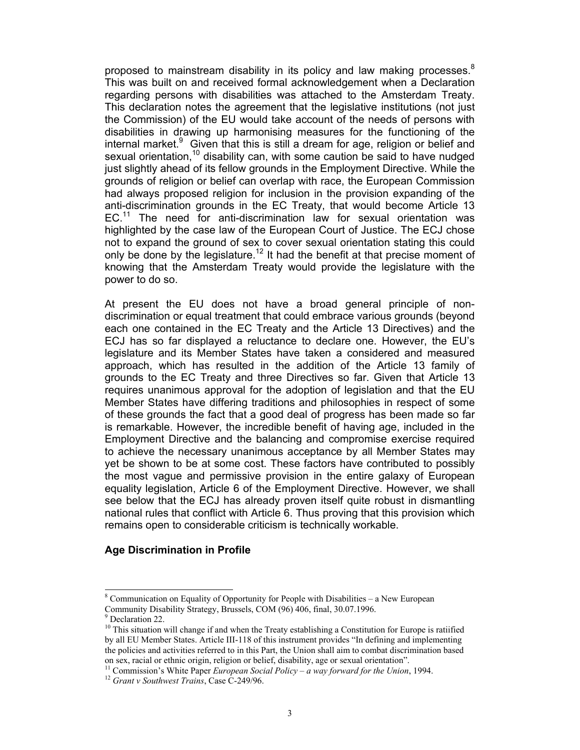proposed to mainstream disability in its policy and law making processes. $8$ This was built on and received formal acknowledgement when a Declaration regarding persons with disabilities was attached to the Amsterdam Treaty. This declaration notes the agreement that the legislative institutions (not just the Commission) of the EU would take account of the needs of persons with disabilities in drawing up harmonising measures for the functioning of the internal market.<sup>9</sup> Given that this is still a dream for age, religion or belief and sexual orientation,<sup>10</sup> disability can, with some caution be said to have nudged just slightly ahead of its fellow grounds in the Employment Directive. While the grounds of religion or belief can overlap with race, the European Commission had always proposed religion for inclusion in the provision expanding of the anti-discrimination grounds in the EC Treaty, that would become Article 13 EC.<sup>11</sup> The need for anti-discrimination law for sexual orientation was highlighted by the case law of the European Court of Justice. The ECJ chose not to expand the ground of sex to cover sexual orientation stating this could only be done by the legislature.<sup>12</sup> It had the benefit at that precise moment of knowing that the Amsterdam Treaty would provide the legislature with the power to do so.

At present the EU does not have a broad general principle of nondiscrimination or equal treatment that could embrace various grounds (beyond each one contained in the EC Treaty and the Article 13 Directives) and the ECJ has so far displayed a reluctance to declare one. However, the EU's legislature and its Member States have taken a considered and measured approach, which has resulted in the addition of the Article 13 family of grounds to the EC Treaty and three Directives so far. Given that Article 13 requires unanimous approval for the adoption of legislation and that the EU Member States have differing traditions and philosophies in respect of some of these grounds the fact that a good deal of progress has been made so far is remarkable. However, the incredible benefit of having age, included in the Employment Directive and the balancing and compromise exercise required to achieve the necessary unanimous acceptance by all Member States may yet be shown to be at some cost. These factors have contributed to possibly the most vague and permissive provision in the entire galaxy of European equality legislation, Article 6 of the Employment Directive. However, we shall see below that the ECJ has already proven itself quite robust in dismantling national rules that conflict with Article 6. Thus proving that this provision which remains open to considerable criticism is technically workable.

# **Age Discrimination in Profile**

 $8$  Communication on Equality of Opportunity for People with Disabilities – a New European Community Disability Strategy, Brussels, COM (96) 406, final, 30.07.1996.

<sup>9</sup> Declaration 22.

<sup>&</sup>lt;sup>10</sup> This situation will change if and when the Treaty establishing a Constitution for Europe is ratiified by all EU Member States. Article III-118 of this instrument provides "In defining and implementing the policies and activities referred to in this Part, the Union shall aim to combat discrimination based on sex, racial or ethnic origin, religion or belief, disability, age or sexual orientation".

<sup>11</sup> Commission's White Paper *European Social Policy – a way forward for the Union*, 1994. 12 *Grant v Southwest Trains*, Case C-249/96.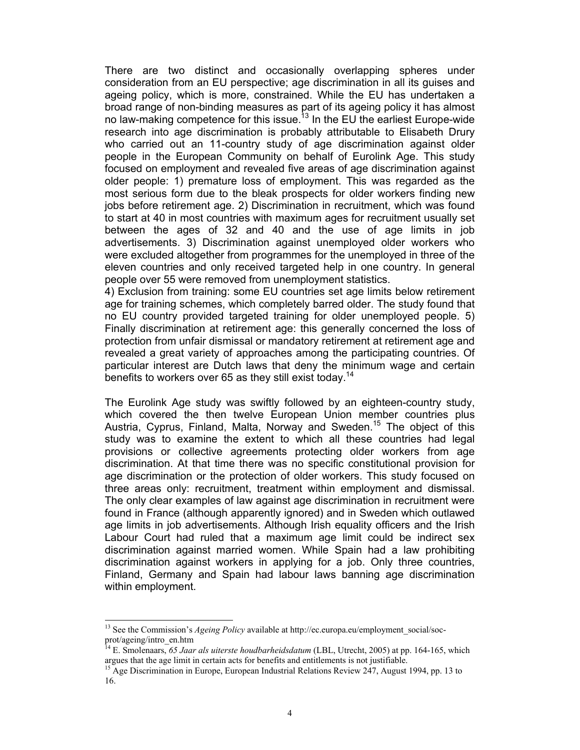There are two distinct and occasionally overlapping spheres under consideration from an EU perspective; age discrimination in all its guises and ageing policy, which is more, constrained. While the EU has undertaken a broad range of non-binding measures as part of its ageing policy it has almost no law-making competence for this issue.<sup>13</sup> In the EU the earliest Europe-wide research into age discrimination is probably attributable to Elisabeth Drury who carried out an 11-country study of age discrimination against older people in the European Community on behalf of Eurolink Age. This study focused on employment and revealed five areas of age discrimination against older people: 1) premature loss of employment. This was regarded as the most serious form due to the bleak prospects for older workers finding new jobs before retirement age. 2) Discrimination in recruitment, which was found to start at 40 in most countries with maximum ages for recruitment usually set between the ages of 32 and 40 and the use of age limits in job advertisements. 3) Discrimination against unemployed older workers who were excluded altogether from programmes for the unemployed in three of the eleven countries and only received targeted help in one country. In general people over 55 were removed from unemployment statistics.

4) Exclusion from training: some EU countries set age limits below retirement age for training schemes, which completely barred older. The study found that no EU country provided targeted training for older unemployed people. 5) Finally discrimination at retirement age: this generally concerned the loss of protection from unfair dismissal or mandatory retirement at retirement age and revealed a great variety of approaches among the participating countries. Of particular interest are Dutch laws that deny the minimum wage and certain benefits to workers over 65 as they still exist today.<sup>14</sup>

The Eurolink Age study was swiftly followed by an eighteen-country study, which covered the then twelve European Union member countries plus Austria, Cyprus, Finland, Malta, Norway and Sweden.<sup>15</sup> The object of this study was to examine the extent to which all these countries had legal provisions or collective agreements protecting older workers from age discrimination. At that time there was no specific constitutional provision for age discrimination or the protection of older workers. This study focused on three areas only: recruitment, treatment within employment and dismissal. The only clear examples of law against age discrimination in recruitment were found in France (although apparently ignored) and in Sweden which outlawed age limits in job advertisements. Although Irish equality officers and the Irish Labour Court had ruled that a maximum age limit could be indirect sex discrimination against married women. While Spain had a law prohibiting discrimination against workers in applying for a job. Only three countries, Finland, Germany and Spain had labour laws banning age discrimination within employment.

<sup>&</sup>lt;sup>13</sup> See the Commission's *Ageing Policy* available at http://ec.europa.eu/employment\_social/socprot/ageing/intro\_en.htm

<sup>&</sup>lt;sup>1</sup> E. Smolenaars, 65 Jaar als uiterste houdbarheidsdatum (LBL, Utrecht, 2005) at pp. 164-165, which argues that the age limit in certain acts for benefits and entitlements is not justifiable.

<sup>&</sup>lt;sup>15</sup> Age Discrimination in Europe, European Industrial Relations Review 247, August 1994, pp. 13 to 16.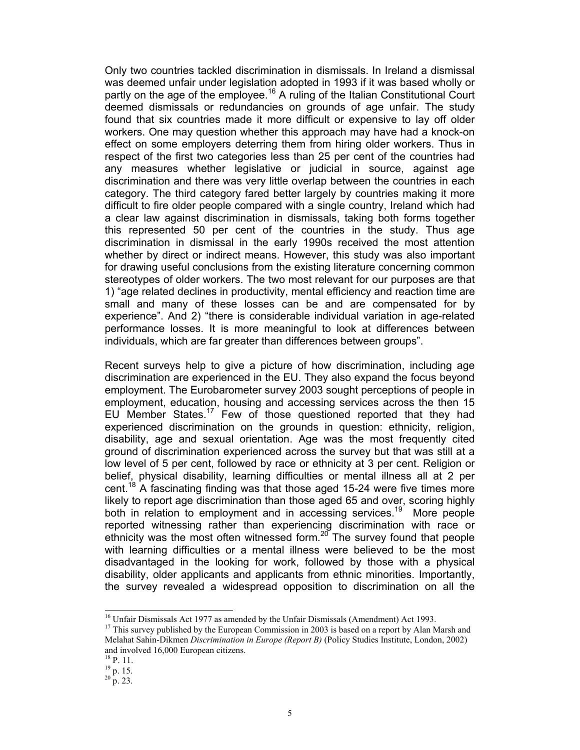Only two countries tackled discrimination in dismissals. In Ireland a dismissal was deemed unfair under legislation adopted in 1993 if it was based wholly or partly on the age of the employee.<sup>16</sup> A ruling of the Italian Constitutional Court deemed dismissals or redundancies on grounds of age unfair. The study found that six countries made it more difficult or expensive to lay off older workers. One may question whether this approach may have had a knock-on effect on some employers deterring them from hiring older workers. Thus in respect of the first two categories less than 25 per cent of the countries had any measures whether legislative or judicial in source, against age discrimination and there was very little overlap between the countries in each category. The third category fared better largely by countries making it more difficult to fire older people compared with a single country, Ireland which had a clear law against discrimination in dismissals, taking both forms together this represented 50 per cent of the countries in the study. Thus age discrimination in dismissal in the early 1990s received the most attention whether by direct or indirect means. However, this study was also important for drawing useful conclusions from the existing literature concerning common stereotypes of older workers. The two most relevant for our purposes are that 1) "age related declines in productivity, mental efficiency and reaction time are small and many of these losses can be and are compensated for by experience". And 2) "there is considerable individual variation in age-related performance losses. It is more meaningful to look at differences between individuals, which are far greater than differences between groups".

Recent surveys help to give a picture of how discrimination, including age discrimination are experienced in the EU. They also expand the focus beyond employment. The Eurobarometer survey 2003 sought perceptions of people in employment, education, housing and accessing services across the then 15 EU Member States.<sup>17</sup> Few of those questioned reported that they had experienced discrimination on the grounds in question: ethnicity, religion, disability, age and sexual orientation. Age was the most frequently cited ground of discrimination experienced across the survey but that was still at a low level of 5 per cent, followed by race or ethnicity at 3 per cent. Religion or belief, physical disability, learning difficulties or mental illness all at 2 per cent.<sup>18</sup> A fascinating finding was that those aged 15-24 were five times more likely to report age discrimination than those aged 65 and over, scoring highly both in relation to employment and in accessing services.<sup>19</sup> More people reported witnessing rather than experiencing discrimination with race or ethnicity was the most often witnessed form. $20^\circ$  The survey found that people with learning difficulties or a mental illness were believed to be the most disadvantaged in the looking for work, followed by those with a physical disability, older applicants and applicants from ethnic minorities. Importantly, the survey revealed a widespread opposition to discrimination on all the

<sup>&</sup>lt;sup>16</sup> Unfair Dismissals Act 1977 as amended by the Unfair Dismissals (Amendment) Act 1993.

<sup>&</sup>lt;sup>17</sup> This survey published by the European Commission in 2003 is based on a report by Alan Marsh and Melahat Sahin-Dikmen *Discrimination in Europe (Report B)* (Policy Studies Institute, London, 2002) and involved 16,000 European citizens.

 $^{18}$  P. 11.

 $^{19}$  p. 15.

 $^{20}$  p. 23.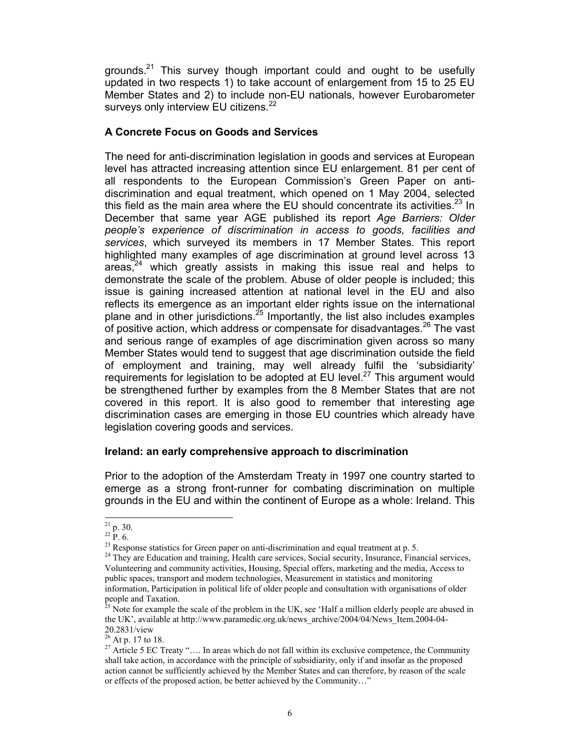grounds. $21$  This survey though important could and ought to be usefully updated in two respects 1) to take account of enlargement from 15 to 25 EU Member States and 2) to include non-EU nationals, however Eurobarometer surveys only interview EU citizens.<sup>22</sup>

# **A Concrete Focus on Goods and Services**

The need for anti-discrimination legislation in goods and services at European level has attracted increasing attention since EU enlargement. 81 per cent of all respondents to the European Commission's Green Paper on antidiscrimination and equal treatment, which opened on 1 May 2004, selected this field as the main area where the EU should concentrate its activities. $^{23}$  In December that same year AGE published its report *Age Barriers: Older people's experience of discrimination in access to goods, facilities and services*, which surveyed its members in 17 Member States. This report highlighted many examples of age discrimination at ground level across 13 areas, $24$  which greatly assists in making this issue real and helps to demonstrate the scale of the problem. Abuse of older people is included; this issue is gaining increased attention at national level in the EU and also reflects its emergence as an important elder rights issue on the international plane and in other jurisdictions. $25$  Importantly, the list also includes examples of positive action, which address or compensate for disadvantages. $^{26}$  The vast and serious range of examples of age discrimination given across so many Member States would tend to suggest that age discrimination outside the field of employment and training, may well already fulfil the 'subsidiarity' requirements for legislation to be adopted at EU level.<sup>27</sup> This argument would be strengthened further by examples from the 8 Member States that are not covered in this report. It is also good to remember that interesting age discrimination cases are emerging in those EU countries which already have legislation covering goods and services.

# **Ireland: an early comprehensive approach to discrimination**

Prior to the adoption of the Amsterdam Treaty in 1997 one country started to emerge as a strong front-runner for combating discrimination on multiple grounds in the EU and within the continent of Europe as a whole: Ireland. This

 $\overline{a}$  $^{21}$  p. 30.

 $^{22}$  P. 6.

 $^{23}$  Response statistics for Green paper on anti-discrimination and equal treatment at p. 5.

<sup>&</sup>lt;sup>24</sup> They are Education and training, Health care services, Social security, Insurance, Financial services, Volunteering and community activities, Housing, Special offers, marketing and the media, Access to public spaces, transport and modern technologies, Measurement in statistics and monitoring information, Participation in political life of older people and consultation with organisations of older people and Taxation.

Note for example the scale of the problem in the UK, see 'Half a million elderly people are abused in the UK', available at http://www.paramedic.org.uk/news\_archive/2004/04/News\_Item.2004-04- 20.2831/view

 $26$  At p. 17 to 18.

<sup>&</sup>lt;sup>27</sup> Article 5 EC Treaty ".... In areas which do not fall within its exclusive competence, the Community shall take action, in accordance with the principle of subsidiarity, only if and insofar as the proposed action cannot be sufficiently achieved by the Member States and can therefore, by reason of the scale or effects of the proposed action, be better achieved by the Community…"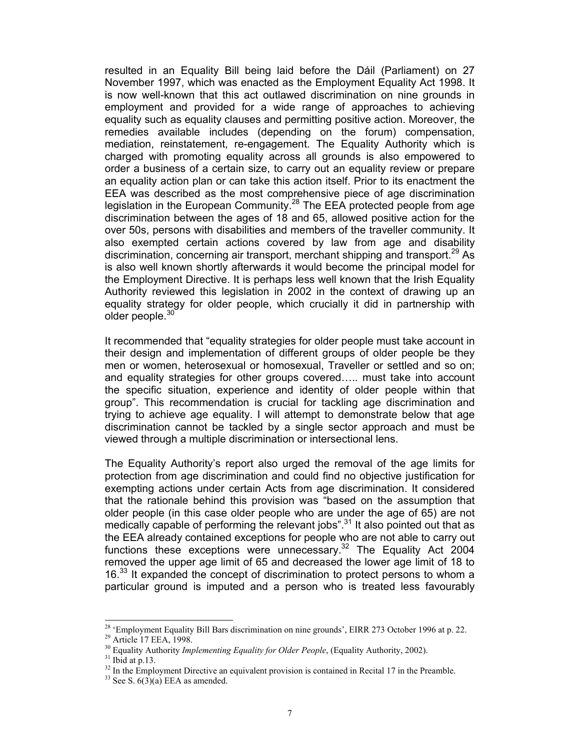resulted in an Equality Bill being laid before the Dáil (Parliament) on 27 November 1997, which was enacted as the Employment Equality Act 1998. It is now well-known that this act outlawed discrimination on nine grounds in employment and provided for a wide range of approaches to achieving equality such as equality clauses and permitting positive action. Moreover, the remedies available includes (depending on the forum) compensation, mediation, reinstatement, re-engagement. The Equality Authority which is charged with promoting equality across all grounds is also empowered to order a business of a certain size, to carry out an equality review or prepare an equality action plan or can take this action itself. Prior to its enactment the EEA was described as the most comprehensive piece of age discrimination legislation in the European Community.<sup>28</sup> The EEA protected people from age discrimination between the ages of 18 and 65, allowed positive action for the over 50s, persons with disabilities and members of the traveller community. It also exempted certain actions covered by law from age and disability discrimination, concerning air transport, merchant shipping and transport.<sup>29</sup> As is also well known shortly afterwards it would become the principal model for the Employment Directive. It is perhaps less well known that the Irish Equality Authority reviewed this legislation in 2002 in the context of drawing up an equality strategy for older people, which crucially it did in partnership with older people. $30$ 

It recommended that "equality strategies for older people must take account in their design and implementation of different groups of older people be they men or women, heterosexual or homosexual, Traveller or settled and so on; and equality strategies for other groups covered….. must take into account the specific situation, experience and identity of older people within that group". This recommendation is crucial for tackling age discrimination and trying to achieve age equality. I will attempt to demonstrate below that age discrimination cannot be tackled by a single sector approach and must be viewed through a multiple discrimination or intersectional lens.

The Equality Authority's report also urged the removal of the age limits for protection from age discrimination and could find no objective justification for exempting actions under certain Acts from age discrimination. It considered that the rationale behind this provision was "based on the assumption that older people (in this case older people who are under the age of 65) are not medically capable of performing the relevant jobs".<sup>31</sup> It also pointed out that as the EEA already contained exceptions for people who are not able to carry out functions these exceptions were unnecessary. $32$  The Equality Act 2004 removed the upper age limit of 65 and decreased the lower age limit of 18 to 16.<sup>33</sup> It expanded the concept of discrimination to protect persons to whom a particular ground is imputed and a person who is treated less favourably

<sup>&</sup>lt;sup>28</sup> 'Employment Equality Bill Bars discrimination on nine grounds', EIRR 273 October 1996 at p. 22.

<sup>&</sup>lt;sup>29</sup> Article 17 EEA, 1998.

<sup>&</sup>lt;sup>30</sup> Equality Authority *Implementing Equality for Older People*, (Equality Authority, 2002).<sup>31</sup> Ibid at p.13.

 $32$  In the Employment Directive an equivalent provision is contained in Recital 17 in the Preamble.

 $33$  See S.  $6(3)(a)$  EEA as amended.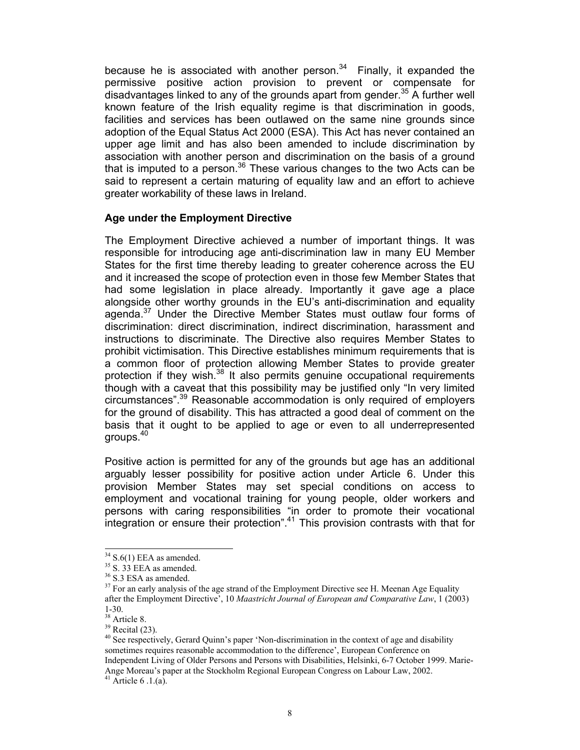because he is associated with another person. $34$  Finally, it expanded the permissive positive action provision to prevent or compensate for disadvantages linked to any of the grounds apart from gender.<sup>35</sup> A further well known feature of the Irish equality regime is that discrimination in goods, facilities and services has been outlawed on the same nine grounds since adoption of the Equal Status Act 2000 (ESA). This Act has never contained an upper age limit and has also been amended to include discrimination by association with another person and discrimination on the basis of a ground that is imputed to a person.<sup>36</sup> These various changes to the two Acts can be said to represent a certain maturing of equality law and an effort to achieve greater workability of these laws in Ireland.

## **Age under the Employment Directive**

The Employment Directive achieved a number of important things. It was responsible for introducing age anti-discrimination law in many EU Member States for the first time thereby leading to greater coherence across the EU and it increased the scope of protection even in those few Member States that had some legislation in place already. Importantly it gave age a place alongside other worthy grounds in the EU's anti-discrimination and equality agenda.<sup>37</sup> Under the Directive Member States must outlaw four forms of discrimination: direct discrimination, indirect discrimination, harassment and instructions to discriminate. The Directive also requires Member States to prohibit victimisation. This Directive establishes minimum requirements that is a common floor of protection allowing Member States to provide greater protection if they wish.<sup>38</sup> It also permits genuine occupational requirements though with a caveat that this possibility may be justified only "In very limited circumstances".39 Reasonable accommodation is only required of employers for the ground of disability. This has attracted a good deal of comment on the basis that it ought to be applied to age or even to all underrepresented groups.40

Positive action is permitted for any of the grounds but age has an additional arguably lesser possibility for positive action under Article 6. Under this provision Member States may set special conditions on access to employment and vocational training for young people, older workers and persons with caring responsibilities "in order to promote their vocational  $\frac{1}{1}$  integration or ensure their protection".<sup>41</sup> This provision contrasts with that for

l

 $41$  Article 6 .1.(a).

 $34$  S.6(1) EEA as amended.

 $35$  S.  $33$  EEA as amended.

<sup>36</sup> S.3 ESA as amended.

<sup>&</sup>lt;sup>37</sup> For an early analysis of the age strand of the Employment Directive see H. Meenan Age Equality after the Employment Directive', 10 *Maastricht Journal of European and Comparative Law*, 1 (2003) 1-30.

<sup>&</sup>lt;sup>38</sup> Article 8.

 $39$  Recital (23).

<sup>&</sup>lt;sup>40</sup> See respectively, Gerard Quinn's paper 'Non-discrimination in the context of age and disability sometimes requires reasonable accommodation to the difference', European Conference on Independent Living of Older Persons and Persons with Disabilities, Helsinki, 6-7 October 1999. Marie-Ange Moreau's paper at the Stockholm Regional European Congress on Labour Law, 2002.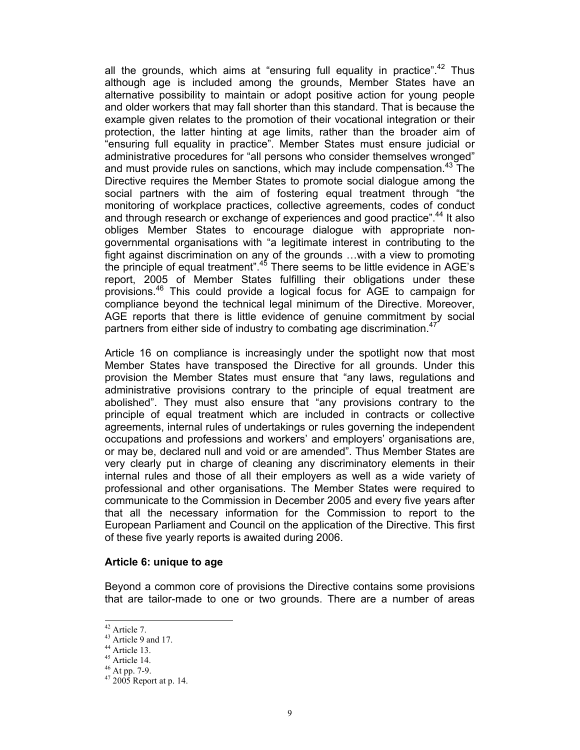all the grounds, which aims at "ensuring full equality in practice".<sup>42</sup> Thus although age is included among the grounds, Member States have an alternative possibility to maintain or adopt positive action for young people and older workers that may fall shorter than this standard. That is because the example given relates to the promotion of their vocational integration or their protection, the latter hinting at age limits, rather than the broader aim of "ensuring full equality in practice". Member States must ensure judicial or administrative procedures for "all persons who consider themselves wronged" and must provide rules on sanctions, which may include compensation.<sup>43</sup> The Directive requires the Member States to promote social dialogue among the social partners with the aim of fostering equal treatment through "the monitoring of workplace practices, collective agreements, codes of conduct and through research or exchange of experiences and good practice".<sup>44</sup> It also obliges Member States to encourage dialogue with appropriate nongovernmental organisations with "a legitimate interest in contributing to the fight against discrimination on any of the grounds …with a view to promoting the principle of equal treatment". $45$  There seems to be little evidence in AGE's report, 2005 of Member States fulfilling their obligations under these provisions.46 This could provide a logical focus for AGE to campaign for compliance beyond the technical legal minimum of the Directive. Moreover, AGE reports that there is little evidence of genuine commitment by social partners from either side of industry to combating age discrimination.<sup>47</sup>

Article 16 on compliance is increasingly under the spotlight now that most Member States have transposed the Directive for all grounds. Under this provision the Member States must ensure that "any laws, regulations and administrative provisions contrary to the principle of equal treatment are abolished". They must also ensure that "any provisions contrary to the principle of equal treatment which are included in contracts or collective agreements, internal rules of undertakings or rules governing the independent occupations and professions and workers' and employers' organisations are, or may be, declared null and void or are amended". Thus Member States are very clearly put in charge of cleaning any discriminatory elements in their internal rules and those of all their employers as well as a wide variety of professional and other organisations. The Member States were required to communicate to the Commission in December 2005 and every five years after that all the necessary information for the Commission to report to the European Parliament and Council on the application of the Directive. This first of these five yearly reports is awaited during 2006.

#### **Article 6: unique to age**

Beyond a common core of provisions the Directive contains some provisions that are tailor-made to one or two grounds. There are a number of areas

 $42$  Article 7.

<sup>&</sup>lt;sup>43</sup> Article 9 and 17.

 $44$  Article 13.

 $45$  Article 14.

<sup>46</sup> At pp. 7-9.

 $47\,2005$  Report at p. 14.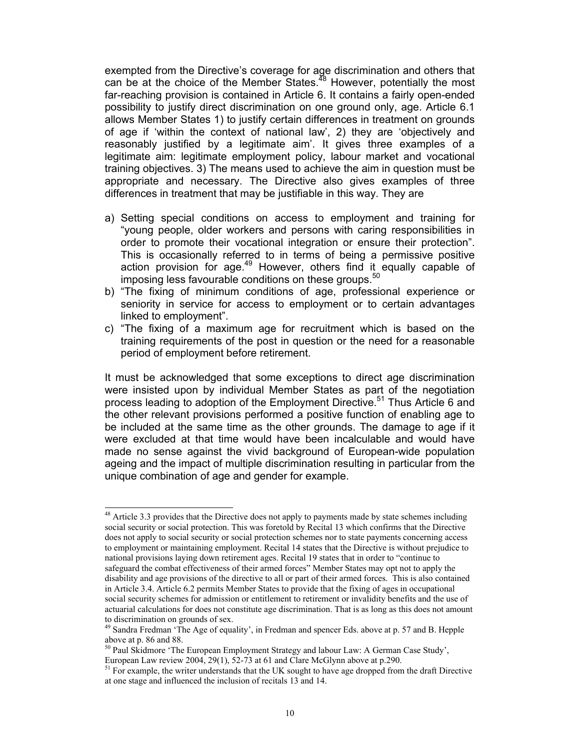exempted from the Directive's coverage for age discrimination and others that can be at the choice of the Member States.<sup>48</sup> However, potentially the most far-reaching provision is contained in Article 6. It contains a fairly open-ended possibility to justify direct discrimination on one ground only, age. Article 6.1 allows Member States 1) to justify certain differences in treatment on grounds of age if 'within the context of national law', 2) they are 'objectively and reasonably justified by a legitimate aim'. It gives three examples of a legitimate aim: legitimate employment policy, labour market and vocational training objectives. 3) The means used to achieve the aim in question must be appropriate and necessary. The Directive also gives examples of three differences in treatment that may be justifiable in this way. They are

- a) Setting special conditions on access to employment and training for "young people, older workers and persons with caring responsibilities in order to promote their vocational integration or ensure their protection". This is occasionally referred to in terms of being a permissive positive action provision for age.<sup>49</sup> However, others find it equally capable of imposing less favourable conditions on these groups.<sup>50</sup>
- b) "The fixing of minimum conditions of age, professional experience or seniority in service for access to employment or to certain advantages linked to employment".
- c) "The fixing of a maximum age for recruitment which is based on the training requirements of the post in question or the need for a reasonable period of employment before retirement.

It must be acknowledged that some exceptions to direct age discrimination were insisted upon by individual Member States as part of the negotiation process leading to adoption of the Employment Directive.<sup>51</sup> Thus Article 6 and the other relevant provisions performed a positive function of enabling age to be included at the same time as the other grounds. The damage to age if it were excluded at that time would have been incalculable and would have made no sense against the vivid background of European-wide population ageing and the impact of multiple discrimination resulting in particular from the unique combination of age and gender for example.

 $\overline{a}$ 

<sup>&</sup>lt;sup>48</sup> Article 3.3 provides that the Directive does not apply to payments made by state schemes including social security or social protection. This was foretold by Recital 13 which confirms that the Directive does not apply to social security or social protection schemes nor to state payments concerning access to employment or maintaining employment. Recital 14 states that the Directive is without prejudice to national provisions laying down retirement ages. Recital 19 states that in order to "continue to safeguard the combat effectiveness of their armed forces" Member States may opt not to apply the disability and age provisions of the directive to all or part of their armed forces. This is also contained in Article 3.4. Article 6.2 permits Member States to provide that the fixing of ages in occupational social security schemes for admission or entitlement to retirement or invalidity benefits and the use of actuarial calculations for does not constitute age discrimination. That is as long as this does not amount to discrimination on grounds of sex.

<sup>&</sup>lt;sup>49</sup> Sandra Fredman 'The Age of equality', in Fredman and spencer Eds. above at p. 57 and B. Hepple above at p. 86 and 88.

<sup>50</sup> Paul Skidmore 'The European Employment Strategy and labour Law: A German Case Study', European Law review 2004, 29(1), 52-73 at 61 and Clare McGlynn above at p.290.

 $<sup>51</sup>$  For example, the writer understands that the UK sought to have age dropped from the draft Directive</sup> at one stage and influenced the inclusion of recitals 13 and 14.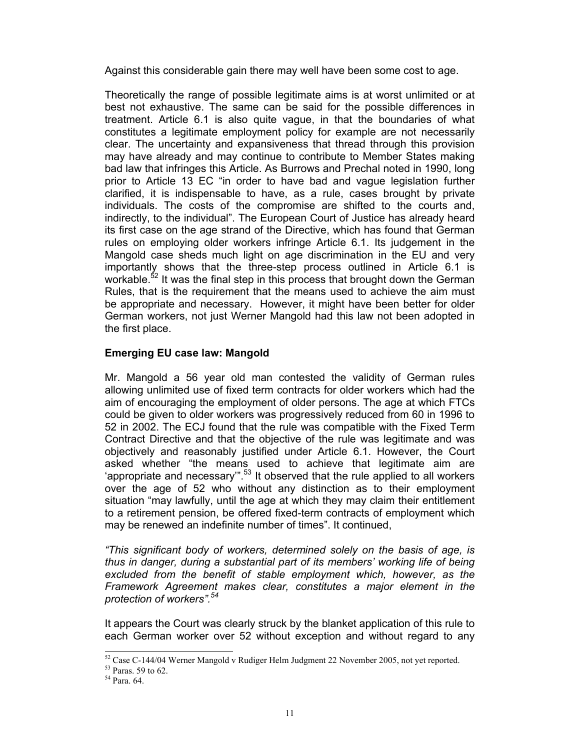Against this considerable gain there may well have been some cost to age.

Theoretically the range of possible legitimate aims is at worst unlimited or at best not exhaustive. The same can be said for the possible differences in treatment. Article 6.1 is also quite vague, in that the boundaries of what constitutes a legitimate employment policy for example are not necessarily clear. The uncertainty and expansiveness that thread through this provision may have already and may continue to contribute to Member States making bad law that infringes this Article. As Burrows and Prechal noted in 1990, long prior to Article 13 EC "in order to have bad and vague legislation further clarified, it is indispensable to have, as a rule, cases brought by private individuals. The costs of the compromise are shifted to the courts and, indirectly, to the individual". The European Court of Justice has already heard its first case on the age strand of the Directive, which has found that German rules on employing older workers infringe Article 6.1. Its judgement in the Mangold case sheds much light on age discrimination in the EU and very importantly shows that the three-step process outlined in Article 6.1 is workable.<sup>52</sup> It was the final step in this process that brought down the German Rules, that is the requirement that the means used to achieve the aim must be appropriate and necessary. However, it might have been better for older German workers, not just Werner Mangold had this law not been adopted in the first place.

# **Emerging EU case law: Mangold**

Mr. Mangold a 56 year old man contested the validity of German rules allowing unlimited use of fixed term contracts for older workers which had the aim of encouraging the employment of older persons. The age at which FTCs could be given to older workers was progressively reduced from 60 in 1996 to 52 in 2002. The ECJ found that the rule was compatible with the Fixed Term Contract Directive and that the objective of the rule was legitimate and was objectively and reasonably justified under Article 6.1. However, the Court asked whether "the means used to achieve that legitimate aim are 'appropriate and necessary"<sup>53</sup> It observed that the rule applied to all workers over the age of 52 who without any distinction as to their employment situation "may lawfully, until the age at which they may claim their entitlement to a retirement pension, be offered fixed-term contracts of employment which may be renewed an indefinite number of times". It continued,

*"This significant body of workers, determined solely on the basis of age, is thus in danger, during a substantial part of its members' working life of being excluded from the benefit of stable employment which, however, as the Framework Agreement makes clear, constitutes a major element in the protection of workers".54* 

It appears the Court was clearly struck by the blanket application of this rule to each German worker over 52 without exception and without regard to any

 $\overline{a}$ 

 $52$  Case C-144/04 Werner Mangold v Rudiger Helm Judgment 22 November 2005, not yet reported.

<sup>53</sup> Paras. 59 to 62.

 $54$  Para.  $64$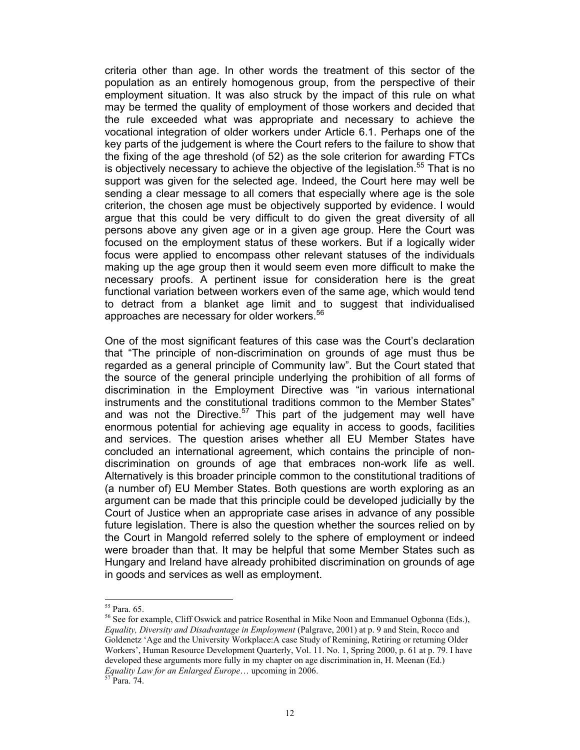criteria other than age. In other words the treatment of this sector of the population as an entirely homogenous group, from the perspective of their employment situation. It was also struck by the impact of this rule on what may be termed the quality of employment of those workers and decided that the rule exceeded what was appropriate and necessary to achieve the vocational integration of older workers under Article 6.1. Perhaps one of the key parts of the judgement is where the Court refers to the failure to show that the fixing of the age threshold (of 52) as the sole criterion for awarding FTCs is objectively necessary to achieve the objective of the legislation.<sup>55</sup> That is no support was given for the selected age. Indeed, the Court here may well be sending a clear message to all comers that especially where age is the sole criterion, the chosen age must be objectively supported by evidence. I would argue that this could be very difficult to do given the great diversity of all persons above any given age or in a given age group. Here the Court was focused on the employment status of these workers. But if a logically wider focus were applied to encompass other relevant statuses of the individuals making up the age group then it would seem even more difficult to make the necessary proofs. A pertinent issue for consideration here is the great functional variation between workers even of the same age, which would tend to detract from a blanket age limit and to suggest that individualised approaches are necessary for older workers.<sup>56</sup>

One of the most significant features of this case was the Court's declaration that "The principle of non-discrimination on grounds of age must thus be regarded as a general principle of Community law". But the Court stated that the source of the general principle underlying the prohibition of all forms of discrimination in the Employment Directive was "in various international instruments and the constitutional traditions common to the Member States" and was not the Directive. $57$  This part of the judgement may well have enormous potential for achieving age equality in access to goods, facilities and services. The question arises whether all EU Member States have concluded an international agreement, which contains the principle of nondiscrimination on grounds of age that embraces non-work life as well. Alternatively is this broader principle common to the constitutional traditions of (a number of) EU Member States. Both questions are worth exploring as an argument can be made that this principle could be developed judicially by the Court of Justice when an appropriate case arises in advance of any possible future legislation. There is also the question whether the sources relied on by the Court in Mangold referred solely to the sphere of employment or indeed were broader than that. It may be helpful that some Member States such as Hungary and Ireland have already prohibited discrimination on grounds of age in goods and services as well as employment.

l

56 See for example, Cliff Oswick and patrice Rosenthal in Mike Noon and Emmanuel Ogbonna (Eds.), *Equality, Diversity and Disadvantage in Employment* (Palgrave, 2001) at p. 9 and Stein, Rocco and Goldenetz 'Age and the University Workplace:A case Study of Remining, Retiring or returning Older Workers', Human Resource Development Quarterly, Vol. 11. No. 1, Spring 2000, p. 61 at p. 79. I have developed these arguments more fully in my chapter on age discrimination in, H. Meenan (Ed.) *Equality Law for an Enlarged Europe*... upcoming in 2006.<br><sup>57</sup> Para. 74.

<sup>55</sup> Para. 65.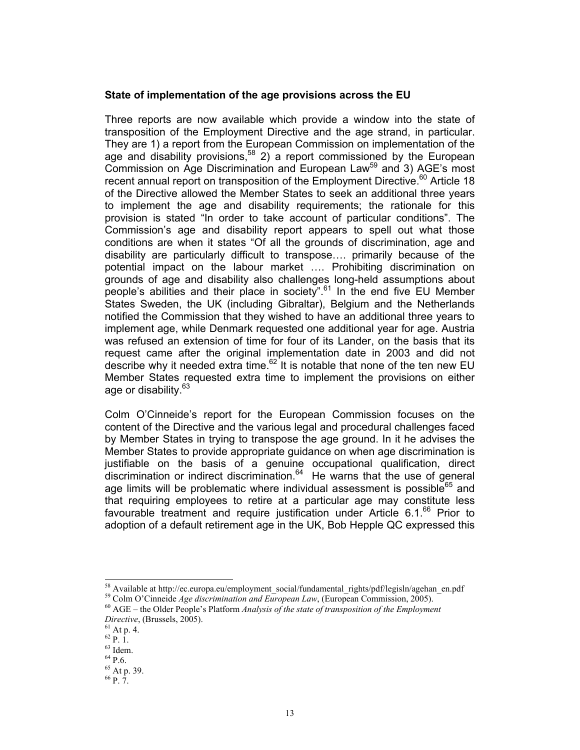#### **State of implementation of the age provisions across the EU**

Three reports are now available which provide a window into the state of transposition of the Employment Directive and the age strand, in particular. They are 1) a report from the European Commission on implementation of the age and disability provisions,<sup>58</sup> 2) a report commissioned by the European Commission on Age Discrimination and European Law<sup>59</sup> and 3) AGE's most recent annual report on transposition of the Employment Directive.<sup>60</sup> Article 18 of the Directive allowed the Member States to seek an additional three years to implement the age and disability requirements; the rationale for this provision is stated "In order to take account of particular conditions". The Commission's age and disability report appears to spell out what those conditions are when it states "Of all the grounds of discrimination, age and disability are particularly difficult to transpose…. primarily because of the potential impact on the labour market …. Prohibiting discrimination on grounds of age and disability also challenges long-held assumptions about people's abilities and their place in society".<sup>61</sup> In the end five EU Member States Sweden, the UK (including Gibraltar), Belgium and the Netherlands notified the Commission that they wished to have an additional three years to implement age, while Denmark requested one additional year for age. Austria was refused an extension of time for four of its Lander, on the basis that its request came after the original implementation date in 2003 and did not describe why it needed extra time. $62$  It is notable that none of the ten new EU Member States requested extra time to implement the provisions on either age or disability.<sup>63</sup>

Colm O'Cinneide's report for the European Commission focuses on the content of the Directive and the various legal and procedural challenges faced by Member States in trying to transpose the age ground. In it he advises the Member States to provide appropriate guidance on when age discrimination is justifiable on the basis of a genuine occupational qualification, direct discrimination or indirect discrimination. $64$  He warns that the use of general age limits will be problematic where individual assessment is possible<sup>65</sup> and that requiring employees to retire at a particular age may constitute less favourable treatment and require justification under Article  $6.1<sup>66</sup>$  Prior to adoption of a default retirement age in the UK, Bob Hepple QC expressed this

<sup>58</sup> Available at http://ec.europa.eu/employment\_social/fundamental\_rights/pdf/legisln/agehan\_en.pdf

<sup>59</sup> Colm O'Cinneide *Age discrimination and European Law*, (European Commission, 2005). 60 AGE – the Older People's Platform *Analysis of the state of transposition of the Employment* 

*Directive*, (Brussels, 2005).<br><sup>61</sup> At p. 4.

 $^{62}$  P.  $\dot{1}.$ 

 $63$  Idem.

 $64$  P.6.

<sup>65</sup> At p. 39.

 $66 p. 7.$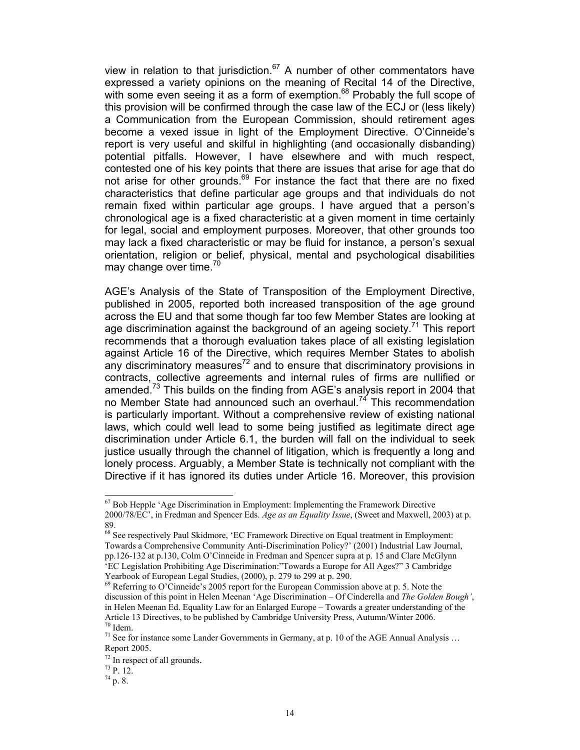view in relation to that jurisdiction. $67$  A number of other commentators have expressed a variety opinions on the meaning of Recital 14 of the Directive, with some even seeing it as a form of exemption.<sup>68</sup> Probably the full scope of this provision will be confirmed through the case law of the ECJ or (less likely) a Communication from the European Commission, should retirement ages become a vexed issue in light of the Employment Directive. O'Cinneide's report is very useful and skilful in highlighting (and occasionally disbanding) potential pitfalls. However, I have elsewhere and with much respect, contested one of his key points that there are issues that arise for age that do not arise for other grounds.<sup>69</sup> For instance the fact that there are no fixed characteristics that define particular age groups and that individuals do not remain fixed within particular age groups. I have argued that a person's chronological age is a fixed characteristic at a given moment in time certainly for legal, social and employment purposes. Moreover, that other grounds too may lack a fixed characteristic or may be fluid for instance, a person's sexual orientation, religion or belief, physical, mental and psychological disabilities may change over time.<sup>70</sup>

AGE's Analysis of the State of Transposition of the Employment Directive, published in 2005, reported both increased transposition of the age ground across the EU and that some though far too few Member States are looking at age discrimination against the background of an ageing society.<sup>71</sup> This report recommends that a thorough evaluation takes place of all existing legislation against Article 16 of the Directive, which requires Member States to abolish any discriminatory measures<sup>72</sup> and to ensure that discriminatory provisions in contracts, collective agreements and internal rules of firms are nullified or amended.<sup>73</sup> This builds on the finding from AGE's analysis report in 2004 that no Member State had announced such an overhaul.<sup>74</sup> This recommendation is particularly important. Without a comprehensive review of existing national laws, which could well lead to some being justified as legitimate direct age discrimination under Article 6.1, the burden will fall on the individual to seek justice usually through the channel of litigation, which is frequently a long and lonely process. Arguably, a Member State is technically not compliant with the Directive if it has ignored its duties under Article 16. Moreover, this provision

 $67$  Bob Hepple 'Age Discrimination in Employment: Implementing the Framework Directive 2000/78/EC', in Fredman and Spencer Eds. *Age as an Equality Issue*, (Sweet and Maxwell, 2003) at p. 89.

<sup>&</sup>lt;sup>68</sup> See respectively Paul Skidmore, 'EC Framework Directive on Equal treatment in Employment: Towards a Comprehensive Community Anti-Discrimination Policy?' (2001) Industrial Law Journal, pp.126-132 at p.130, Colm O'Cinneide in Fredman and Spencer supra at p. 15 and Clare McGlynn 'EC Legislation Prohibiting Age Discrimination:"Towards a Europe for All Ages?" 3 Cambridge Yearbook of European Legal Studies, (2000), p. 279 to 299 at p. 290.

 $69$  Referring to O'Cinneide's 2005 report for the European Commission above at p. 5. Note the discussion of this point in Helen Meenan 'Age Discrimination – Of Cinderella and *The Golden Bough'*, in Helen Meenan Ed. Equality Law for an Enlarged Europe – Towards a greater understanding of the Article 13 Directives, to be published by Cambridge University Press, Autumn/Winter 2006. 70 Idem.

<sup>&</sup>lt;sup>71</sup> See for instance some Lander Governments in Germany, at p. 10 of the AGE Annual Analysis ... Report 2005.

 $^{72}$  In respect of all grounds.<br> $^{73}$  P. 12.

 $^{74}$  p. 8.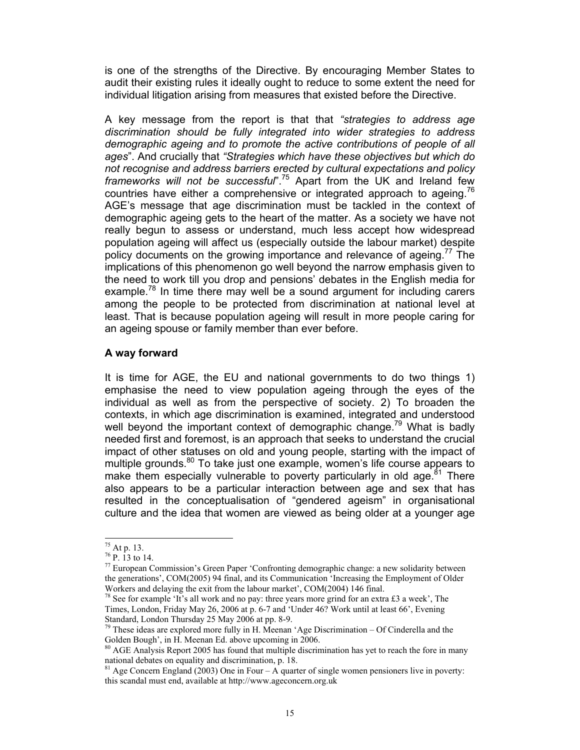is one of the strengths of the Directive. By encouraging Member States to audit their existing rules it ideally ought to reduce to some extent the need for individual litigation arising from measures that existed before the Directive.

A key message from the report is that that *"strategies to address age discrimination should be fully integrated into wider strategies to address demographic ageing and to promote the active contributions of people of all ages*". And crucially that *"Strategies which have these objectives but which do not recognise and address barriers erected by cultural expectations and policy frameworks will not be successful*".75 Apart from the UK and Ireland few countries have either a comprehensive or integrated approach to ageing.<sup>76</sup> AGE's message that age discrimination must be tackled in the context of demographic ageing gets to the heart of the matter. As a society we have not really begun to assess or understand, much less accept how widespread population ageing will affect us (especially outside the labour market) despite policy documents on the growing importance and relevance of ageing.<sup>17</sup> The implications of this phenomenon go well beyond the narrow emphasis given to the need to work till you drop and pensions' debates in the English media for example.<sup>78</sup> In time there may well be a sound argument for including carers among the people to be protected from discrimination at national level at least. That is because population ageing will result in more people caring for an ageing spouse or family member than ever before.

## **A way forward**

It is time for AGE, the EU and national governments to do two things 1) emphasise the need to view population ageing through the eyes of the individual as well as from the perspective of society. 2) To broaden the contexts, in which age discrimination is examined, integrated and understood well beyond the important context of demographic change.<sup>79</sup> What is badly needed first and foremost, is an approach that seeks to understand the crucial impact of other statuses on old and young people, starting with the impact of multiple grounds.<sup>80</sup> To take just one example, women's life course appears to make them especially vulnerable to poverty particularly in old age.<sup>81</sup> There also appears to be a particular interaction between age and sex that has resulted in the conceptualisation of "gendered ageism" in organisational culture and the idea that women are viewed as being older at a younger age

 $^{75}$  At p. 13.

<sup>76</sup> P. 13 to 14.

<sup>77</sup> European Commission's Green Paper 'Confronting demographic change: a new solidarity between the generations', COM(2005) 94 final, and its Communication 'Increasing the Employment of Older Workers and delaying the exit from the labour market', COM(2004) 146 final.

<sup>78</sup> See for example 'It's all work and no pay: three years more grind for an extra £3 a week', The Times, London, Friday May 26, 2006 at p. 6-7 and 'Under 46? Work until at least 66', Evening Standard, London Thursday 25 May 2006 at pp. 8-9.

 $79$  These ideas are explored more fully in H. Meenan 'Age Discrimination – Of Cinderella and the Golden Bough', in H. Meenan Ed. above upcoming in 2006.

 $\beta$  AGE Analysis Report 2005 has found that multiple discrimination has yet to reach the fore in many national debates on equality and discrimination, p. 18.

 $81$  Age Concern England (2003) One in Four – A quarter of single women pensioners live in poverty: this scandal must end, available at http://www.ageconcern.org.uk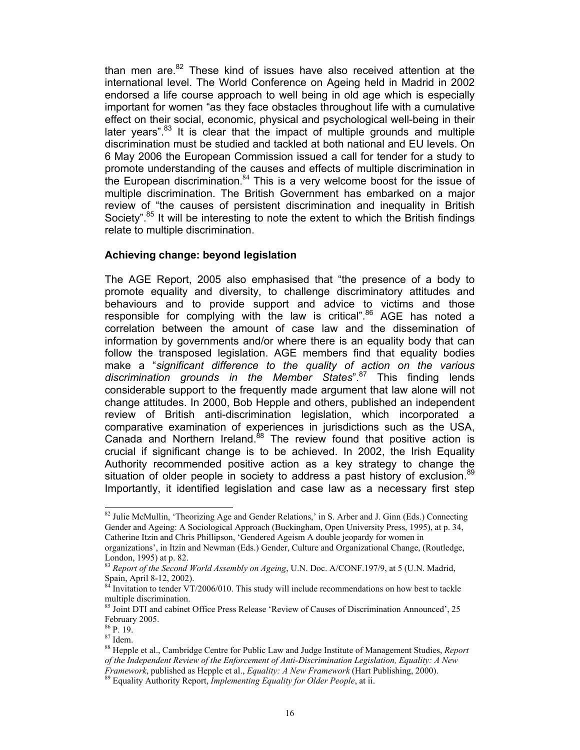than men are. $82$  These kind of issues have also received attention at the international level. The World Conference on Ageing held in Madrid in 2002 endorsed a life course approach to well being in old age which is especially important for women "as they face obstacles throughout life with a cumulative effect on their social, economic, physical and psychological well-being in their later vears".<sup>83</sup> It is clear that the impact of multiple grounds and multiple discrimination must be studied and tackled at both national and EU levels. On 6 May 2006 the European Commission issued a call for tender for a study to promote understanding of the causes and effects of multiple discrimination in the European discrimination.<sup>84</sup> This is a very welcome boost for the issue of multiple discrimination. The British Government has embarked on a major review of "the causes of persistent discrimination and inequality in British Society".<sup>85</sup> It will be interesting to note the extent to which the British findings relate to multiple discrimination.

#### **Achieving change: beyond legislation**

The AGE Report, 2005 also emphasised that "the presence of a body to promote equality and diversity, to challenge discriminatory attitudes and behaviours and to provide support and advice to victims and those responsible for complying with the law is critical".<sup>86</sup> AGE has noted a correlation between the amount of case law and the dissemination of information by governments and/or where there is an equality body that can follow the transposed legislation. AGE members find that equality bodies make a "*significant difference to the quality of action on the various discrimination grounds in the Member States*".87 This finding lends considerable support to the frequently made argument that law alone will not change attitudes. In 2000, Bob Hepple and others, published an independent review of British anti-discrimination legislation, which incorporated a comparative examination of experiences in jurisdictions such as the USA, Canada and Northern Ireland.<sup>88</sup> The review found that positive action is crucial if significant change is to be achieved. In 2002, the Irish Equality Authority recommended positive action as a key strategy to change the situation of older people in society to address a past history of exclusion.<sup>89</sup> Importantly, it identified legislation and case law as a necessary first step

 $\overline{a}$ 

<sup>&</sup>lt;sup>82</sup> Julie McMullin, 'Theorizing Age and Gender Relations,' in S. Arber and J. Ginn (Eds.) Connecting Gender and Ageing: A Sociological Approach (Buckingham, Open University Press, 1995), at p. 34, Catherine Itzin and Chris Phillipson, 'Gendered Ageism A double jeopardy for women in

organizations', in Itzin and Newman (Eds.) Gender, Culture and Organizational Change, (Routledge, London, 1995) at p. 82.

<sup>83</sup> *Report of the Second World Assembly on Ageing*, U.N. Doc. A/CONF.197/9, at 5 (U.N. Madrid, Spain, April 8-12, 2002).

Invitation to tender VT/2006/010. This study will include recommendations on how best to tackle multiple discrimination.

<sup>&</sup>lt;sup>85</sup> Joint DTI and cabinet Office Press Release 'Review of Causes of Discrimination Announced', 25 February 2005.

<sup>86</sup> P. 19.

<sup>87</sup> Idem.

<sup>88</sup> Hepple et al., Cambridge Centre for Public Law and Judge Institute of Management Studies, *Report of the Independent Review of the Enforcement of Anti-Discrimination Legislation, Equality: A New Framework*, published as Hepple et al., *Equality: A New Framework* (Hart Publishing, 2000). 89 Equality Authority Report, *Implementing Equality for Older People*, at ii.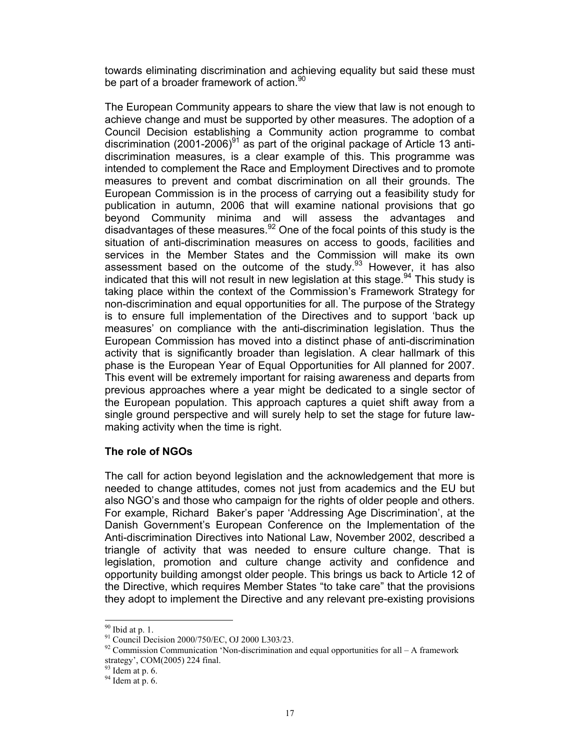towards eliminating discrimination and achieving equality but said these must be part of a broader framework of action.<sup>90</sup>

The European Community appears to share the view that law is not enough to achieve change and must be supported by other measures. The adoption of a Council Decision establishing a Community action programme to combat discrimination (2001-2006) $91$  as part of the original package of Article 13 antidiscrimination measures, is a clear example of this. This programme was intended to complement the Race and Employment Directives and to promote measures to prevent and combat discrimination on all their grounds. The European Commission is in the process of carrying out a feasibility study for publication in autumn, 2006 that will examine national provisions that go beyond Community minima and will assess the advantages and disadvantages of these measures. $92$  One of the focal points of this study is the situation of anti-discrimination measures on access to goods, facilities and services in the Member States and the Commission will make its own assessment based on the outcome of the study. $93$  However, it has also indicated that this will not result in new legislation at this stage.<sup>94</sup> This study is taking place within the context of the Commission's Framework Strategy for non-discrimination and equal opportunities for all. The purpose of the Strategy is to ensure full implementation of the Directives and to support 'back up measures' on compliance with the anti-discrimination legislation. Thus the European Commission has moved into a distinct phase of anti-discrimination activity that is significantly broader than legislation. A clear hallmark of this phase is the European Year of Equal Opportunities for All planned for 2007. This event will be extremely important for raising awareness and departs from previous approaches where a year might be dedicated to a single sector of the European population. This approach captures a quiet shift away from a single ground perspective and will surely help to set the stage for future lawmaking activity when the time is right.

# **The role of NGOs**

The call for action beyond legislation and the acknowledgement that more is needed to change attitudes, comes not just from academics and the EU but also NGO's and those who campaign for the rights of older people and others. For example, Richard Baker's paper 'Addressing Age Discrimination', at the Danish Government's European Conference on the Implementation of the Anti-discrimination Directives into National Law, November 2002, described a triangle of activity that was needed to ensure culture change. That is legislation, promotion and culture change activity and confidence and opportunity building amongst older people. This brings us back to Article 12 of the Directive, which requires Member States "to take care" that the provisions they adopt to implement the Directive and any relevant pre-existing provisions

 $90$  Ibid at p. 1.

<sup>91</sup> Council Decision 2000/750/EC, OJ 2000 L303/23.

 $92$  Commission Communication 'Non-discrimination and equal opportunities for all – A framework strategy', COM(2005) 224 final.

 $93$  Idem at p. 6.

 $94$  Idem at p. 6.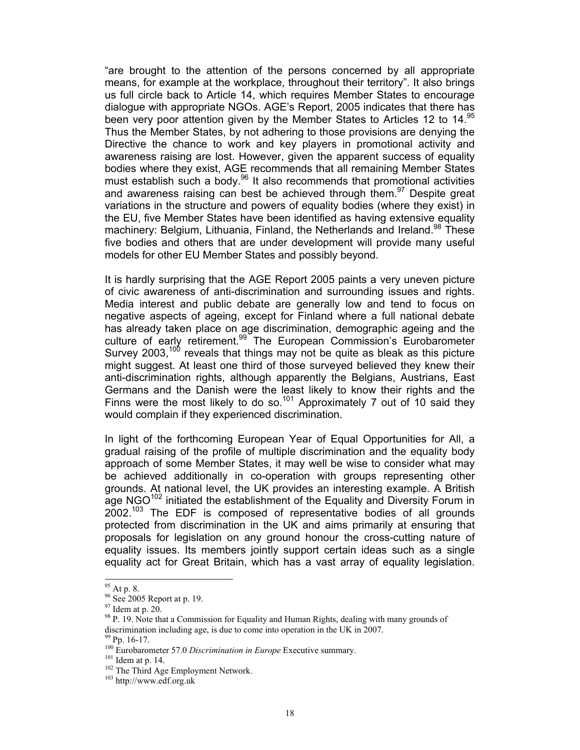"are brought to the attention of the persons concerned by all appropriate means, for example at the workplace, throughout their territory". It also brings us full circle back to Article 14, which requires Member States to encourage dialogue with appropriate NGOs. AGE's Report, 2005 indicates that there has been very poor attention given by the Member States to Articles 12 to 14.<sup>95</sup> Thus the Member States, by not adhering to those provisions are denying the Directive the chance to work and key players in promotional activity and awareness raising are lost. However, given the apparent success of equality bodies where they exist, AGE recommends that all remaining Member States must establish such a body.<sup>96</sup> It also recommends that promotional activities and awareness raising can best be achieved through them.  $97$  Despite great variations in the structure and powers of equality bodies (where they exist) in the EU, five Member States have been identified as having extensive equality machinery: Belgium, Lithuania, Finland, the Netherlands and Ireland.<sup>98</sup> These five bodies and others that are under development will provide many useful models for other EU Member States and possibly beyond.

It is hardly surprising that the AGE Report 2005 paints a very uneven picture of civic awareness of anti-discrimination and surrounding issues and rights. Media interest and public debate are generally low and tend to focus on negative aspects of ageing, except for Finland where a full national debate has already taken place on age discrimination, demographic ageing and the culture of early retirement.99 The European Commission's Eurobarometer Survey 2003,<sup>100</sup> reveals that things may not be quite as bleak as this picture might suggest. At least one third of those surveyed believed they knew their anti-discrimination rights, although apparently the Belgians, Austrians, East Germans and the Danish were the least likely to know their rights and the Finns were the most likely to do so.<sup>101</sup> Approximately 7 out of 10 said they would complain if they experienced discrimination.

In light of the forthcoming European Year of Equal Opportunities for All, a gradual raising of the profile of multiple discrimination and the equality body approach of some Member States, it may well be wise to consider what may be achieved additionally in co-operation with groups representing other grounds. At national level, the UK provides an interesting example. A British age NGO<sup>102</sup> initiated the establishment of the Equality and Diversity Forum in 2002.<sup>103</sup> The EDF is composed of representative bodies of all grounds protected from discrimination in the UK and aims primarily at ensuring that proposals for legislation on any ground honour the cross-cutting nature of equality issues. Its members jointly support certain ideas such as a single equality act for Great Britain, which has a vast array of equality legislation.

 $95$  At p. 8.

<sup>&</sup>lt;sup>96</sup> See 2005 Report at p. 19.

 $97$  Idem at p. 20.

 $98$  P. 19. Note that a Commission for Equality and Human Rights, dealing with many grounds of discrimination including age, is due to come into operation in the UK in 2007.

<sup>99</sup> Pp. 16-17.

<sup>&</sup>lt;sup>100</sup> Eurobarometer 57.0 *Discrimination in Europe* Executive summary.<br><sup>101</sup> Idem at p. 14.<br><sup>102</sup> The Third Age Employment Network.<br><sup>103</sup> http://www.edf.org.uk